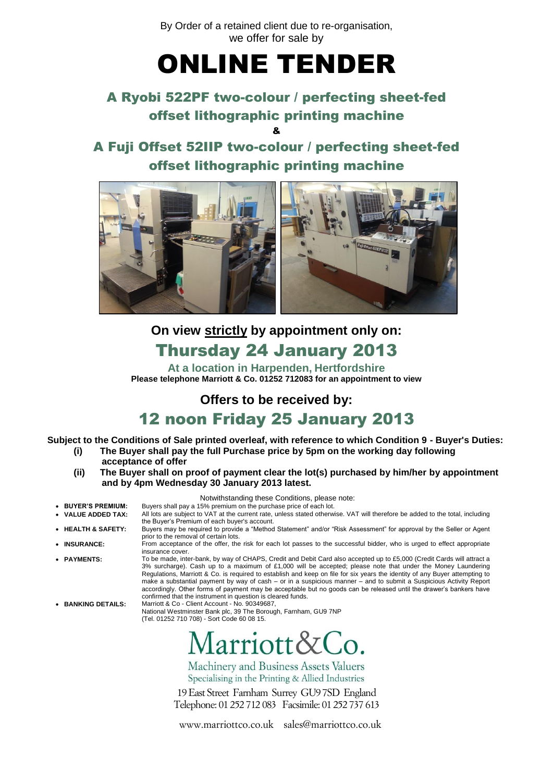By Order of a retained client due to re-organisation, we offer for sale by

# ONLINE TENDER

## A Ryobi 522PF two-colour / perfecting sheet-fed offset lithographic printing machine

&

A Fuji Offset 52IIP two-colour / perfecting sheet-fed offset lithographic printing machine



**On view strictly by appointment only on:**

## Thursday 24 January 2013

**At a location in Harpenden, Hertfordshire Please telephone Marriott & Co. 01252 712083 for an appointment to view**

**Offers to be received by:** 12 noon Friday 25 January 2013

**Subject to the Conditions of Sale printed overleaf, with reference to which Condition 9 - Buyer's Duties:**

- **(i) The Buyer shall pay the full Purchase price by 5pm on the working day following acceptance of offer**
- **(ii) The Buyer shall on proof of payment clear the lot(s) purchased by him/her by appointment and by 4pm Wednesday 30 January 2013 latest.**

|                                   | Notwithstanding these Conditions, please note:                                                                                                                                                                                                                                                                                                                                                                                                                                                                                                                                                                                                                                                                                                                                                                                                     |
|-----------------------------------|----------------------------------------------------------------------------------------------------------------------------------------------------------------------------------------------------------------------------------------------------------------------------------------------------------------------------------------------------------------------------------------------------------------------------------------------------------------------------------------------------------------------------------------------------------------------------------------------------------------------------------------------------------------------------------------------------------------------------------------------------------------------------------------------------------------------------------------------------|
| • BUYER'S PREMIUM:                | Buyers shall pay a 15% premium on the purchase price of each lot.                                                                                                                                                                                                                                                                                                                                                                                                                                                                                                                                                                                                                                                                                                                                                                                  |
| • VALUE ADDED TAX:                | All lots are subject to VAT at the current rate, unless stated otherwise. VAT will therefore be added to the total, including<br>the Buyer's Premium of each buyer's account.                                                                                                                                                                                                                                                                                                                                                                                                                                                                                                                                                                                                                                                                      |
| • HEALTH & SAFETY:                | Buyers may be required to provide a "Method Statement" and/or "Risk Assessment" for approval by the Seller or Agent<br>prior to the removal of certain lots.                                                                                                                                                                                                                                                                                                                                                                                                                                                                                                                                                                                                                                                                                       |
| • INSURANCE:                      | From acceptance of the offer, the risk for each lot passes to the successful bidder, who is urged to effect appropriate<br>insurance cover.                                                                                                                                                                                                                                                                                                                                                                                                                                                                                                                                                                                                                                                                                                        |
| • PAYMENTS:<br>• BANKING DETAILS: | To be made, inter-bank, by way of CHAPS, Credit and Debit Card also accepted up to £5,000 (Credit Cards will attract a<br>3% surcharge). Cash up to a maximum of £1,000 will be accepted; please note that under the Money Laundering<br>Regulations, Marriott & Co. is required to establish and keep on file for six years the identity of any Buyer attempting to<br>make a substantial payment by way of cash – or in a suspicious manner – and to submit a Suspicious Activity Report<br>accordingly. Other forms of payment may be acceptable but no goods can be released until the drawer's bankers have<br>confirmed that the instrument in question is cleared funds.<br>Marriott & Co - Client Account - No. 90349687,<br>National Westminster Bank plc, 39 The Borough, Farnham, GU9 7NP<br>(Tel. 01252 710 708) - Sort Code 60 08 15. |
|                                   | Marriott&Co.<br>Machinery and Business Assets Valuers                                                                                                                                                                                                                                                                                                                                                                                                                                                                                                                                                                                                                                                                                                                                                                                              |

Machinery and Business Assets Valuers Specialising in the Printing & Allied Industries

19 East Street Farnham Surrey GU9 7SD England Telephone: 01 252 712 083 Facsimile: 01 252 737 613

www.marriottco.co.uk sales@marriottco.co.uk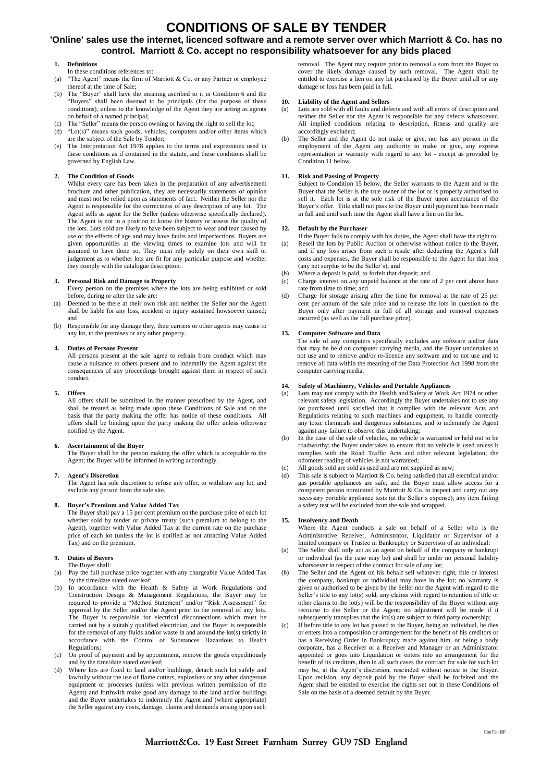## **CONDITIONS OF SALE BY TENDER**

### **'Online' sales use the internet, licenced software and a remote server over which Marriott & Co. has no control. Marriott & Co. accept no responsibility whatsoever for any bids placed**

#### **1. Definitions**

- In these conditions references to: (a) "The Agent" means the firm of Marriott  $\&$  Co. or any Partner or employee thereof at the time of Sale;
- (b) The "Buyer" shall have the meaning ascribed to it in Condition 6 and the "Buyers" shall been deemed to be principals (for the purpose of these conditions), unless to the knowledge of the Agent they are acting as agents on behalf of a named principal;
- (c) The "Seller" means the person owning or having the right to sell the lot;
- (d) "Lot(s)" means such goods, vehicles, computers and/or other items which are the subject of the Sale by Tender;
- (e) The Interpretation Act 1978 applies to the terms and expressions used in these conditions as if contained in the statute, and these conditions shall be governed by English Law.

#### **2. The Condition of Goods**

Whilst every care has been taken in the preparation of any advertisement brochure and other publication, they are necessarily statements of opinion and must not be relied upon as statements of fact. Neither the Seller nor the Agent is responsible for the correctness of any description of any lot. The Agent sells as agent for the Seller (unless otherwise specifically declared). The Agent is not in a position to know the history or assess the quality of the lots. Lots sold are likely to have been subject to wear and tear caused by use or the effects of age and may have faults and imperfections. Buyers are given opportunities at the viewing times to examine lots and will be assumed to have done so. They must rely solely on their own skill or judgement as to whether lots are fit for any particular purpose and whether they comply with the catalogue description.

#### **3. Personal Risk and Damage to Property**

- Every person on the premises where the lots are being exhibited or sold before, during or after the sale are:
- (a) Deemed to be there at their own risk and neither the Seller nor the Agent shall be liable for any loss, accident or injury sustained howsoever caused; and
- (b) Responsible for any damage they, their carriers or other agents may cause to any lot, to the premises or any other property.

#### **4. Duties of Persons Present**

All persons present at the sale agree to refrain from conduct which may cause a nuisance to others present and to indemnify the Agent against the consequences of any proceedings brought against them in respect of such conduct.

#### **5. Offers**

All offers shall be submitted in the manner prescribed by the Agent, and shall be treated as being made upon these Conditions of Sale and on the basis that the party making the offer has notice of these conditions. All offers shall be binding upon the party making the offer unless otherwise notified by the Agent.

#### **6. Ascertainment of the Buyer**

The Buyer shall be the person making the offer which is acceptable to the Agent; the Buyer will be informed in writing accordingly.

#### **7. Agent's Discretion**

The Agent has sole discretion to refuse any offer, to withdraw any lot, and exclude any person from the sale site.

#### **8. Buyer's Premium and Value Added Tax**

The Buyer shall pay a 15 per cent premium on the purchase price of each lot whether sold by tender or private treaty (such premium to belong to the Agent), together with Value Added Tax at the current rate on the purchase price of each lot (unless the lot is notified as not attracting Value Added Tax) and on the premium.

#### **9. Duties of Buyers**

- The Buyer shall:
- (a) Pay the full purchase price together with any chargeable Value Added Tax by the time/date stated overleaf;
- (b) In accordance with the Health & Safety at Work Regulations and Construction Design & Management Regulations, the Buyer may be required to provide a "Method Statement" and/or "Risk Assessment" for approval by the Seller and/or the Agent prior to the removal of any lots. The Buyer is responsible for electrical disconnections which must be carried out by a suitably qualified electrician, and the Buyer is responsible for the removal of any fluids and/or waste in and around the lot(s) strictly in accordance with the Control of Substances Hazardous to Health Regulations;
- (c) On proof of payment and by appointment, remove the goods expeditiously and by the time/date stated overleaf;
- (d) Where lots are fixed to land and/or buildings, detach such lot safely and lawfully without the use of flame cutters, explosives or any other dangerous equipment or processes (unless with previous written permission of the Agent) and forthwith make good any damage to the land and/or buildings and the Buyer undertakes to indemnify the Agent and (where appropriate) the Seller against any costs, damage, claims and demands arising upon such

removal. The Agent may require prior to removal a sum from the Buyer to cover the likely damage caused by such removal. The Agent shall be entitled to exercise a lien on any lot purchased by the Buyer until all or any damage or loss has been paid in full.

## **10. Liability of the Agent and Sellers**

- Lots are sold with all faults and defects and with all errors of description and neither the Seller nor the Agent is responsible for any defects whatsoever. All implied conditions relating to description, fitness and quality are accordingly excluded;
- (b) The Seller and the Agent do not make or give, nor has any person in the employment of the Agent any authority to make or give, any express representation or warranty with regard to any lot - except as provided by Condition 11 below.

#### **11. Risk and Passing of Property**

Subject to Condition 15 below, the Seller warrants to the Agent and to the Buyer that the Seller is the true owner of the lot or is properly authorised to sell it. Each lot is at the sole risk of the Buyer upon acceptance of the Buyer's offer. Title shall not pass to the Buyer until payment has been made in full and until such time the Agent shall have a lien on the lot.

#### **12. Default by the Purchaser**

- If the Buyer fails to comply with his duties, the Agent shall have the right to: (a) Resell the lots by Public Auction or otherwise without notice to the Buyer, and if any loss arises from such a resale after deducting the Agent's full costs and expenses, the Buyer shall be responsible to the Agent for that loss (any net surplus to be the Seller's); and
- (b) Where a deposit is paid, to forfeit that deposit; and (c) Charge interest on any unpaid balance at the rate
- Charge interest on any unpaid balance at the rate of 2 per cent above base rate from time to time; and
- (d) Charge for storage arising after the time for removal at the rate of 25 per cent per annum of the sale price and to release the lots in question to the Buyer only after payment in full of all storage and removal expenses incurred (as well as the full purchase price).

#### **13. Computer Software and Data**

The sale of any computers specifically excludes any software and/or data that may be held on computer carrying media, and the Buyer undertakes to not use and to remove and/or re-licence any software and to not use and to remove all data within the meaning of the Data Protection Act 1998 from the computer carrying media.

#### **14. Safety of Machinery, Vehicles and Portable Appliances**

- (a) Lots may not comply with the Health and Safety at Work Act 1974 or other relevant safety legislation. Accordingly the Buyer undertakes not to use any lot purchased until satisfied that it complies with the relevant Acts and Regulations relating to such machines and equipment, to handle correctly any toxic chemicals and dangerous substances, and to indemnify the Agent against any failure to observe this undertaking;
- (b) In the case of the sale of vehicles, no vehicle is warranted or held out to be roadworthy; the Buyer undertakes to ensure that no vehicle is used unless it complies with the Road Traffic Acts and other relevant legislation; the odometer reading of vehicles is not warranted;
- (c) All goods sold are sold as used and are not supplied as new;
- (d) This sale is subject to Marriott & Co. being satisfied that all electrical and/or gas portable appliances are safe, and the Buyer must allow access for a competent person nominated by Marriott & Co. to inspect and carry out any necessary portable appliance tests (at the Seller's expense); any item failing a safety test will be excluded from the sale and scrapped.

#### **15. Insolvency and Death**

Where the Agent conducts a sale on behalf of a Seller who is the Administrative Receiver, Administrator, Liquidator or Supervisor of a limited company or Trustee in Bankruptcy or Supervisor of an individual:

- (a) The Seller shall only act as an agent on behalf of the company or bankrupt or individual (as the case may be) and shall be under no personal liability whatsoever in respect of the contract for sale of any lot;
- (b) The Seller and the Agent on his behalf sell whatever right, title or interest the company, bankrupt or individual may have in the lot; no warranty is given or authorised to be given by the Seller nor the Agent with regard to the Seller's title to any lot(s) sold; any claims with regard to retention of title or other claims to the lot(s) will be the responsibility of the Buyer without any recourse to the Seller or the Agent; no adjustment will be made if it subsequently transpires that the lot(s) are subject to third party ownership;
- If before title to any lot has passed to the Buyer, being an individual, he dies or enters into a composition or arrangement for the benefit of his creditors or has a Receiving Order in Bankruptcy made against him, or being a body corporate, has a Receiver or a Receiver and Manager or an Administrator appointed or goes into Liquidation or enters into an arrangement for the benefit of its creditors, then in all such cases the contract for sale for such lot may be, at the Agent's discretion, rescinded without notice to the Buyer. Upon recision, any deposit paid by the Buyer shall be forfeited and the Agent shall be entitled to exercise the rights set out in these Conditions of Sale on the basis of a deemed default by the Buyer.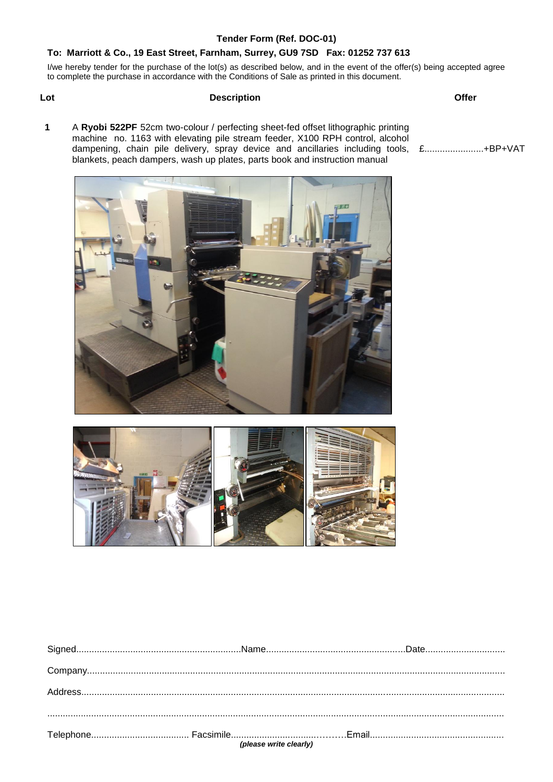### **Tender Form (Ref. DOC-01)**

## **To: Marriott & Co., 19 East Street, Farnham, Surrey, GU9 7SD Fax: 01252 737 613**

I/we hereby tender for the purchase of the lot(s) as described below, and in the event of the offer(s) being accepted agree to complete the purchase in accordance with the Conditions of Sale as printed in this document.

## **Lot Description Offer**

**1** A **Ryobi 522PF** 52cm two-colour / perfecting sheet-fed offset lithographic printing machine no. 1163 with elevating pile stream feeder, X100 RPH control, alcohol dampening, chain pile delivery, spray device and ancillaries including tools, £.......................+BP+VATblankets, peach dampers, wash up plates, parts book and instruction manual